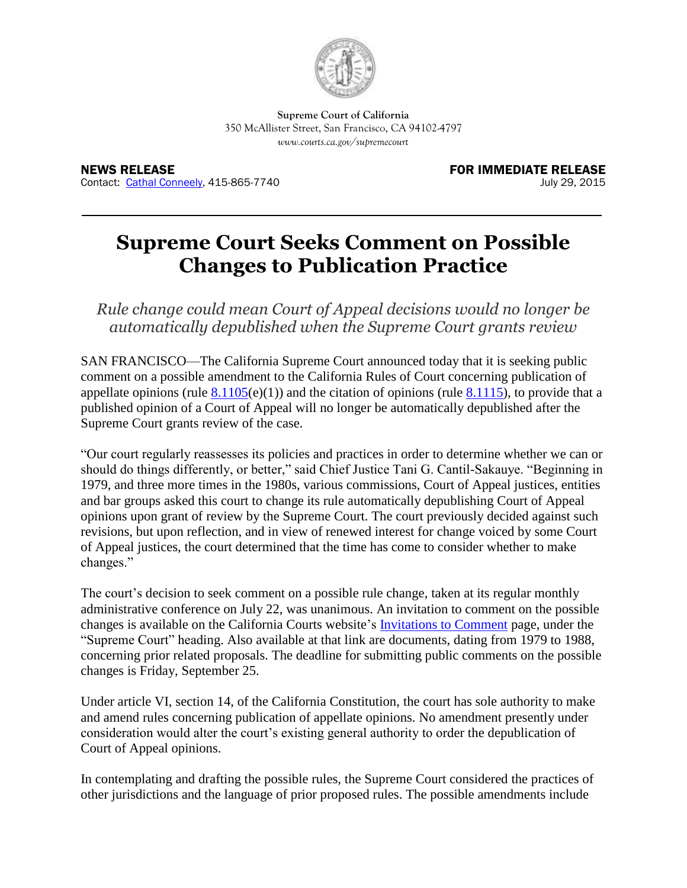

**Supreme Court of California** 350 McAllister Street, San Francisco, CA 94102-4797 *www.courts.ca.gov/supremecourt*

NEWS RELEASE FOR IMMEDIATE RELEASE Contact: [Cathal Conneely,](mailto:cathal.conneely@jud.ca.gov) 415-865-7740 July 29, 2015

## **Supreme Court Seeks Comment on Possible Changes to Publication Practice**

*Rule change could mean Court of Appeal decisions would no longer be automatically depublished when the Supreme Court grants review* 

SAN FRANCISCO—The California Supreme Court announced today that it is seeking public comment on a possible amendment to the California Rules of Court concerning publication of appellate opinions (rule  $8.1105(e)(1)$ ) and the citation of opinions (rule  $8.1115$ ), to provide that a published opinion of a Court of Appeal will no longer be automatically depublished after the Supreme Court grants review of the case.

"Our court regularly reassesses its policies and practices in order to determine whether we can or should do things differently, or better," said Chief Justice Tani G. Cantil-Sakauye. "Beginning in 1979, and three more times in the 1980s, various commissions, Court of Appeal justices, entities and bar groups asked this court to change its rule automatically depublishing Court of Appeal opinions upon grant of review by the Supreme Court. The court previously decided against such revisions, but upon reflection, and in view of renewed interest for change voiced by some Court of Appeal justices, the court determined that the time has come to consider whether to make changes."

The court's decision to seek comment on a possible rule change, taken at its regular monthly administrative conference on July 22, was unanimous. An invitation to comment on the possible changes is available on the California Courts website's [Invitations to Comment](http://www.courts.ca.gov/policyadmin-invitationstocomment.htm) page, under the "Supreme Court" heading. Also available at that link are documents, dating from 1979 to 1988, concerning prior related proposals. The deadline for submitting public comments on the possible changes is Friday, September 25.

Under article VI, section 14, of the California Constitution, the court has sole authority to make and amend rules concerning publication of appellate opinions. No amendment presently under consideration would alter the court's existing general authority to order the depublication of Court of Appeal opinions.

In contemplating and drafting the possible rules, the Supreme Court considered the practices of other jurisdictions and the language of prior proposed rules. The possible amendments include